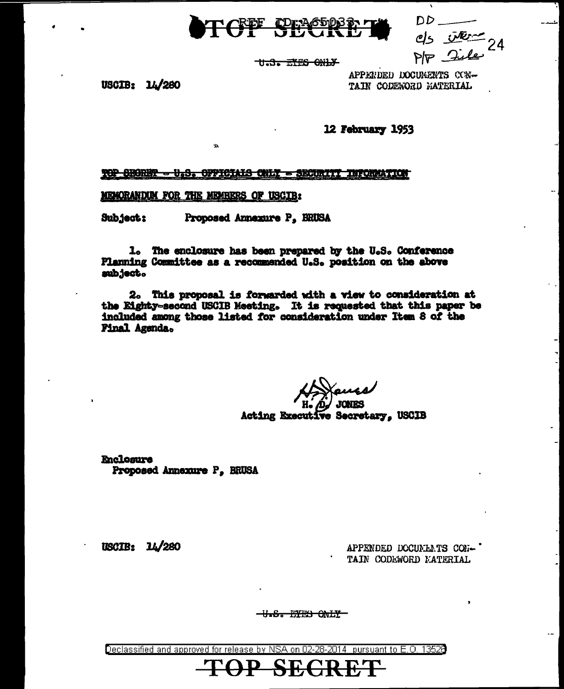

DD  $ds$   $\overline{w}$   $\overline{w}$   $\rightarrow$   $\overline{q}$ 

THEST EXES ONLY

USCIB: 14/280

APPENDED DOCUMENTS CON-TAIN CODESORD MATERIAL

12 February 1953

**TOP SHORKY - U.S. OFFICIALS CNLY - SECURITY INFORMATION** 

MEMORANDUM FOR THE MEMBERS OF USCIB:

Subject: Proposed Annexure P. BRUSA

 $\mathbf{A}$ 

1. The enclosure has been prepared by the U.S. Conference Planning Committee as a recommended U.S. position on the above subject.

2. This proposal is forwarded with a view to consideration at the Eighty-second USCIB Meeting. It is requested that this paper be included among those listed for consideration under Item 8 of the Final Agenda.

**JONES** 

Acting Executive Secretary, USCIB

**Enclosure** Proposed Annexure P. BRUSA

USCIB: 14/280

APPENDED DOCUMENTS CON-' TAIN CODEWORD MATERIAL

<del>-U.S. EYES ONLY-</del>

Declassified and approved for release by NSA on 02-28-2014 pursuant to E.O. 13528

SE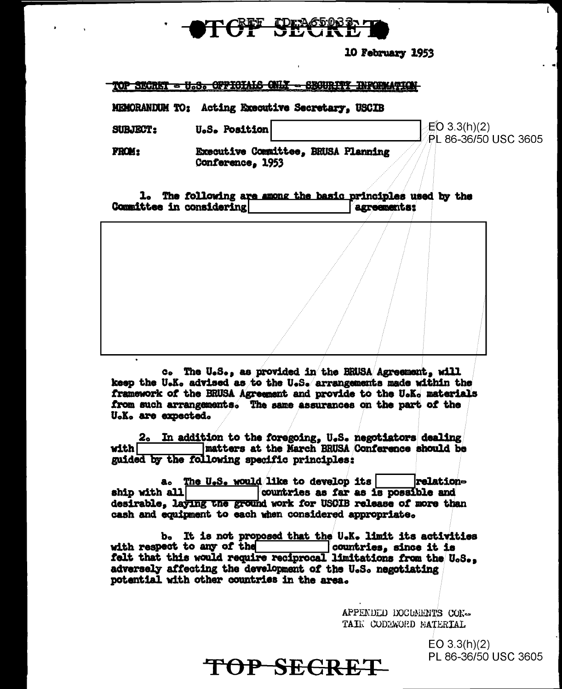

## 10 February 1953

ſ

## **TOP SECRET = U.S. OFFICIALS ONLY** <del>- SBOURITY INFORMATION</del>

MEMORANDUM TO: Acting Executive Secretary. USCIB

 $EO(3.3(h)(2))$ **SUBJECT: U.S. Position** PL 86-36/50 USC 3605 Executive Committee. BRUSA Planning **FROM:** Conference, 1953

1. The following are among the basic principles used by the Committee in considering agreements:

c. The U.S., as provided in the BRUSA Agreement, will keep the U.K. advised as to the U.S. arrangements made within the framework of the BRUSA Agreement and provide to the U.K. materials from such arrangements. The same assurances on the part of the U.K. are expected.

2. In addition to the foregoing, U.S. negotiators dealing matters at the March BRUSA Conference should be **with I** guided by the following specific principles:

a. The U.S. would like to develop its **relation**countries as far as is possible and ship with all desirable, laying the ground work for USCIB release of more than cash and equipment to each when considered appropriate.

b. It is not proposed that the U.K. limit its activities with respect to any of the with respect to any of the countries, since it is<br>felt that this would require reciprocal limitations from the  $\theta_0S_{\bullet}$ , adversely affecting the development of the U.S. negotiating potential with other countries in the area.

> APPENDED DOCUMENTS CON-TAIN CODEWORD BATERTAL

> > $EO 3.3(h)(2)$ PL 86-36/50 USC 3605

TOP SECRET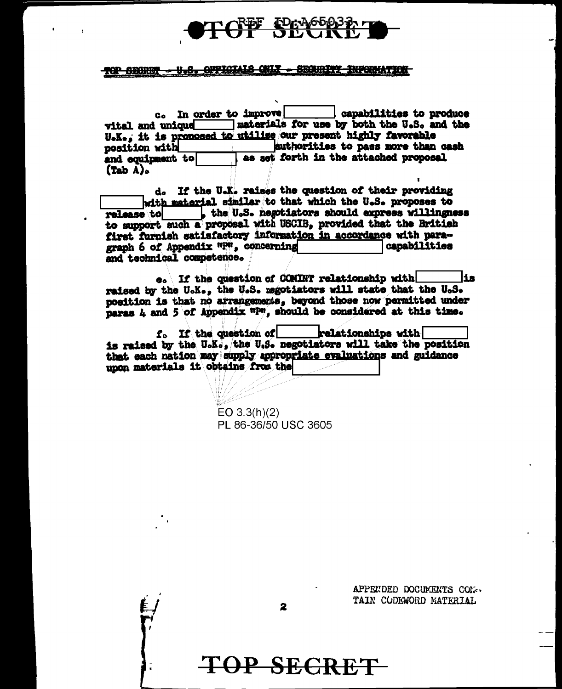

## **10P SECRET - U.S. OFFICIALS CNLY - SECORDITY INFORMATION**

c. In order to improve! capabilities to produce materials for use by both the U.S. and the  $v$ ital and unique  $\overline{\phantom{iiiiiiiiiiiiiiii}}$ U.K., it is pronosed to utilise our present highly favorable authorities to pass more than cash position with as set forth in the attached proposal and equipment to  $(Tab A)$ 

d. If the U.K. raises the question of their providing with material similar to that which the U.S. proposes to the U.S. negotiators should express willingness **ralease** to to support such a proposal with USCIB, provided that the British first furnish satisfactory information in accordance with paragraph 6 of Appendix "P", concerning capabilities and technical competence.

e. If the question of COMINT relationship with lis. raised by the U.K., the U.S. magotiators will state that the U.S. position is that no arrangements, beyond those now permitted under paras 4 and 5 of Appendix "P", should be considered at this time.

f. If the question of relationships with is raised by the U.K., the U.S. negotiators will take the position that each nation may supply appropriate evaluations and guidance unon materials it obtains from the

> $EO 3.3(h)(2)$ PL 86-36/50 USC 3605

> > APPENDED DOCUMENTS CON-TAIN CODEWORD MATERIAL

2

TOP SECRET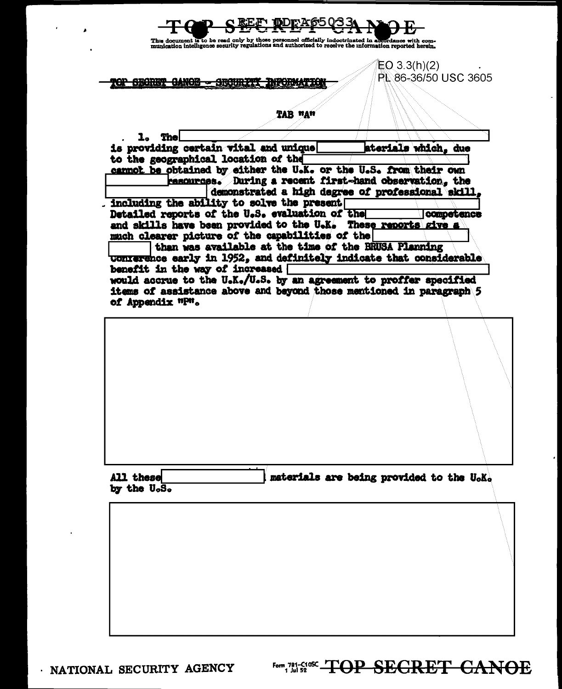| 47.NOG-<br>TAB "A"<br>The<br>l.<br>is providing certain vital and unique<br>to the geographical location of the<br>cannot be obtained by either the U.K. or the U.S. from their own<br>resources. During a recent first-hand observation, the<br>demonstrated a high degree of professional skill.<br>including the ability to solve the present<br>Detailed reports of the U.S. evaluation of the<br>and skills have been provided to the U.K.<br>much clearer picture of the capabilities of the<br>than was available at the time of the BRUSA Planning<br>conterence early in 1952, and definitely indicate that considerable<br>benefit in the way of increased<br>would accrue to the U.K./U.S. by an agreement to proffer specified<br>items of assistance above and beyond those mentioned in paragraph 5<br>of Appendix "P". | PL 86-36/50 USC 3605<br>aterials which, due<br>competence<br>These reports give a |
|---------------------------------------------------------------------------------------------------------------------------------------------------------------------------------------------------------------------------------------------------------------------------------------------------------------------------------------------------------------------------------------------------------------------------------------------------------------------------------------------------------------------------------------------------------------------------------------------------------------------------------------------------------------------------------------------------------------------------------------------------------------------------------------------------------------------------------------|-----------------------------------------------------------------------------------|
|                                                                                                                                                                                                                                                                                                                                                                                                                                                                                                                                                                                                                                                                                                                                                                                                                                       |                                                                                   |
|                                                                                                                                                                                                                                                                                                                                                                                                                                                                                                                                                                                                                                                                                                                                                                                                                                       |                                                                                   |
|                                                                                                                                                                                                                                                                                                                                                                                                                                                                                                                                                                                                                                                                                                                                                                                                                                       |                                                                                   |
|                                                                                                                                                                                                                                                                                                                                                                                                                                                                                                                                                                                                                                                                                                                                                                                                                                       |                                                                                   |
|                                                                                                                                                                                                                                                                                                                                                                                                                                                                                                                                                                                                                                                                                                                                                                                                                                       |                                                                                   |
|                                                                                                                                                                                                                                                                                                                                                                                                                                                                                                                                                                                                                                                                                                                                                                                                                                       |                                                                                   |
|                                                                                                                                                                                                                                                                                                                                                                                                                                                                                                                                                                                                                                                                                                                                                                                                                                       |                                                                                   |
|                                                                                                                                                                                                                                                                                                                                                                                                                                                                                                                                                                                                                                                                                                                                                                                                                                       |                                                                                   |
|                                                                                                                                                                                                                                                                                                                                                                                                                                                                                                                                                                                                                                                                                                                                                                                                                                       |                                                                                   |
|                                                                                                                                                                                                                                                                                                                                                                                                                                                                                                                                                                                                                                                                                                                                                                                                                                       |                                                                                   |
|                                                                                                                                                                                                                                                                                                                                                                                                                                                                                                                                                                                                                                                                                                                                                                                                                                       |                                                                                   |
|                                                                                                                                                                                                                                                                                                                                                                                                                                                                                                                                                                                                                                                                                                                                                                                                                                       |                                                                                   |
|                                                                                                                                                                                                                                                                                                                                                                                                                                                                                                                                                                                                                                                                                                                                                                                                                                       |                                                                                   |
|                                                                                                                                                                                                                                                                                                                                                                                                                                                                                                                                                                                                                                                                                                                                                                                                                                       |                                                                                   |
|                                                                                                                                                                                                                                                                                                                                                                                                                                                                                                                                                                                                                                                                                                                                                                                                                                       |                                                                                   |
|                                                                                                                                                                                                                                                                                                                                                                                                                                                                                                                                                                                                                                                                                                                                                                                                                                       |                                                                                   |
|                                                                                                                                                                                                                                                                                                                                                                                                                                                                                                                                                                                                                                                                                                                                                                                                                                       |                                                                                   |
|                                                                                                                                                                                                                                                                                                                                                                                                                                                                                                                                                                                                                                                                                                                                                                                                                                       |                                                                                   |
|                                                                                                                                                                                                                                                                                                                                                                                                                                                                                                                                                                                                                                                                                                                                                                                                                                       |                                                                                   |
|                                                                                                                                                                                                                                                                                                                                                                                                                                                                                                                                                                                                                                                                                                                                                                                                                                       |                                                                                   |
|                                                                                                                                                                                                                                                                                                                                                                                                                                                                                                                                                                                                                                                                                                                                                                                                                                       |                                                                                   |
|                                                                                                                                                                                                                                                                                                                                                                                                                                                                                                                                                                                                                                                                                                                                                                                                                                       |                                                                                   |
|                                                                                                                                                                                                                                                                                                                                                                                                                                                                                                                                                                                                                                                                                                                                                                                                                                       |                                                                                   |
|                                                                                                                                                                                                                                                                                                                                                                                                                                                                                                                                                                                                                                                                                                                                                                                                                                       |                                                                                   |
|                                                                                                                                                                                                                                                                                                                                                                                                                                                                                                                                                                                                                                                                                                                                                                                                                                       |                                                                                   |
|                                                                                                                                                                                                                                                                                                                                                                                                                                                                                                                                                                                                                                                                                                                                                                                                                                       |                                                                                   |
|                                                                                                                                                                                                                                                                                                                                                                                                                                                                                                                                                                                                                                                                                                                                                                                                                                       |                                                                                   |
| All these                                                                                                                                                                                                                                                                                                                                                                                                                                                                                                                                                                                                                                                                                                                                                                                                                             | materials are being provided to the U.K.                                          |
| by the $U_{\circ}S_{\circ}$                                                                                                                                                                                                                                                                                                                                                                                                                                                                                                                                                                                                                                                                                                                                                                                                           |                                                                                   |
|                                                                                                                                                                                                                                                                                                                                                                                                                                                                                                                                                                                                                                                                                                                                                                                                                                       |                                                                                   |
|                                                                                                                                                                                                                                                                                                                                                                                                                                                                                                                                                                                                                                                                                                                                                                                                                                       |                                                                                   |
|                                                                                                                                                                                                                                                                                                                                                                                                                                                                                                                                                                                                                                                                                                                                                                                                                                       |                                                                                   |
|                                                                                                                                                                                                                                                                                                                                                                                                                                                                                                                                                                                                                                                                                                                                                                                                                                       |                                                                                   |
|                                                                                                                                                                                                                                                                                                                                                                                                                                                                                                                                                                                                                                                                                                                                                                                                                                       |                                                                                   |
|                                                                                                                                                                                                                                                                                                                                                                                                                                                                                                                                                                                                                                                                                                                                                                                                                                       |                                                                                   |

 $\mathbf{z} = \mathbf{z}$  $\overline{\phantom{a}}$ 

 $\ddot{\phantom{a}}$ 

NATIONAL SECURITY AGENCY Form 781-C105C TOP SECRET CANOE

 $\hat{\mathbf{r}}$ 

 $\bullet$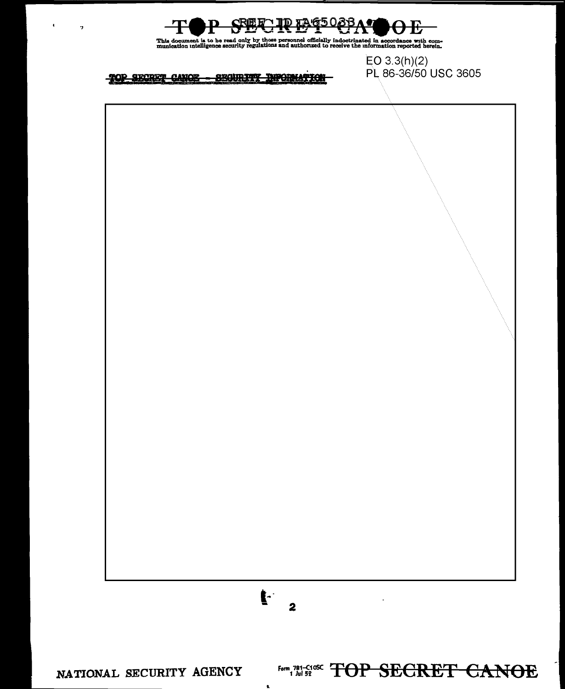

This document is to be read only by those personnel officially indoctrinated in accordance with com-<br>munication intelligence security regulations and authorized to receive the information reported herein.

 $EO 3.3(h)(2)$ PL 86-36/50 USC 3605

TOP SECRET CANOE - SEGURITY INFORMATION

 $\bullet$ 

 $\,$  ,

 $\mathbf{F}$  $\overline{\mathbf{2}}$ Form 781-C108C TOP SECRET CANOE NATIONAL SECURITY AGENCY

 $\mathbf{L}$